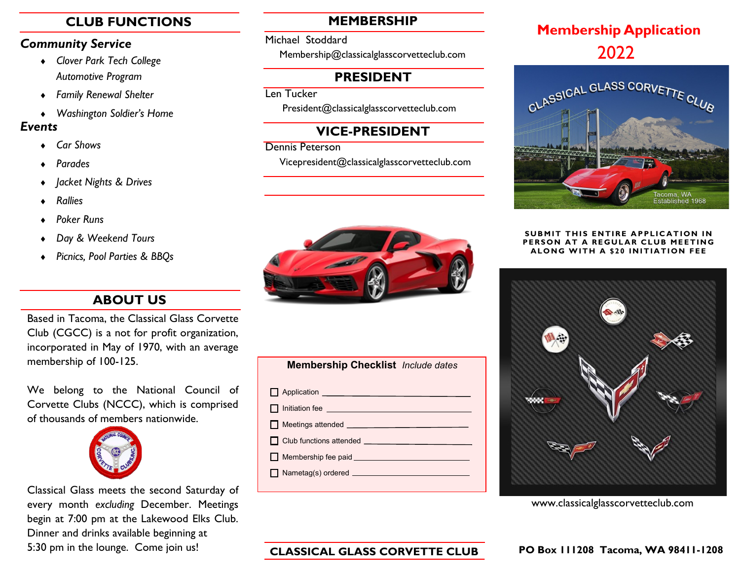### *Community Service*

- *Clover Park Tech College Automotive Program*
- *Family Renewal Shelter*
- *Washington Soldier's Home*

## *Events*

- *Car Shows*
- *Parades*
- *Jacket Nights & Drives*
- *Rallies*
- *Poker Runs*
- *Day & Weekend Tours*
- *Picnics, Pool Parties & BBQs*

# **ABOUT US**

Based in Tacoma, the Classical Glass Corvette Club (CGCC) is a not for profit organization, incorporated in May of 1970, with an average membership of 100-125.

We belong to the National Council of Corvette Clubs (NCCC), which is comprised of thousands of members nationwide.



Classical Glass meets the second Saturday of every month *excluding* December. Meetings begin at 7:00 pm at the Lakewood Elks Club. Dinner and drinks available beginning at 5:30 pm in the lounge. Come join us!

Michael Stoddard

Membership@classicalglasscorvetteclub.com

# **PRESIDENT**

Len Tucker

President@classicalglasscorvetteclub.com

# **VICE-PRESIDENT**

Dennis Peterson

Vicepresident@classicalglasscorvetteclub.com



# **Membership Checklist** *Include dates* Application **Application**

- Initiation fee **International Contract of the Contract of Contract of Contract of Contract of Contract of Contract of Contract of Contract of Contract of Contract of Contract of Contract of Contract of Contract of Contract**
- Meetings attended П
- Club functions attended П
- Membership fee paid **example 200**  $\Box$
- Nametag(s) ordered

# **CLUB FUNCTIONS Membership Application MEMBERSHIP** 2022



### **SUBMIT THIS ENTIRE APPLICATION IN PERSON AT A REGULAR CLUB MEETING ALONG WITH A \$20 INITIATION FEE**



www.classicalglasscorvetteclub.com

# **CLASSICAL GLASS CORVETTE CLUB**

### **PO Box 111208 Tacoma, WA 98411-1208**